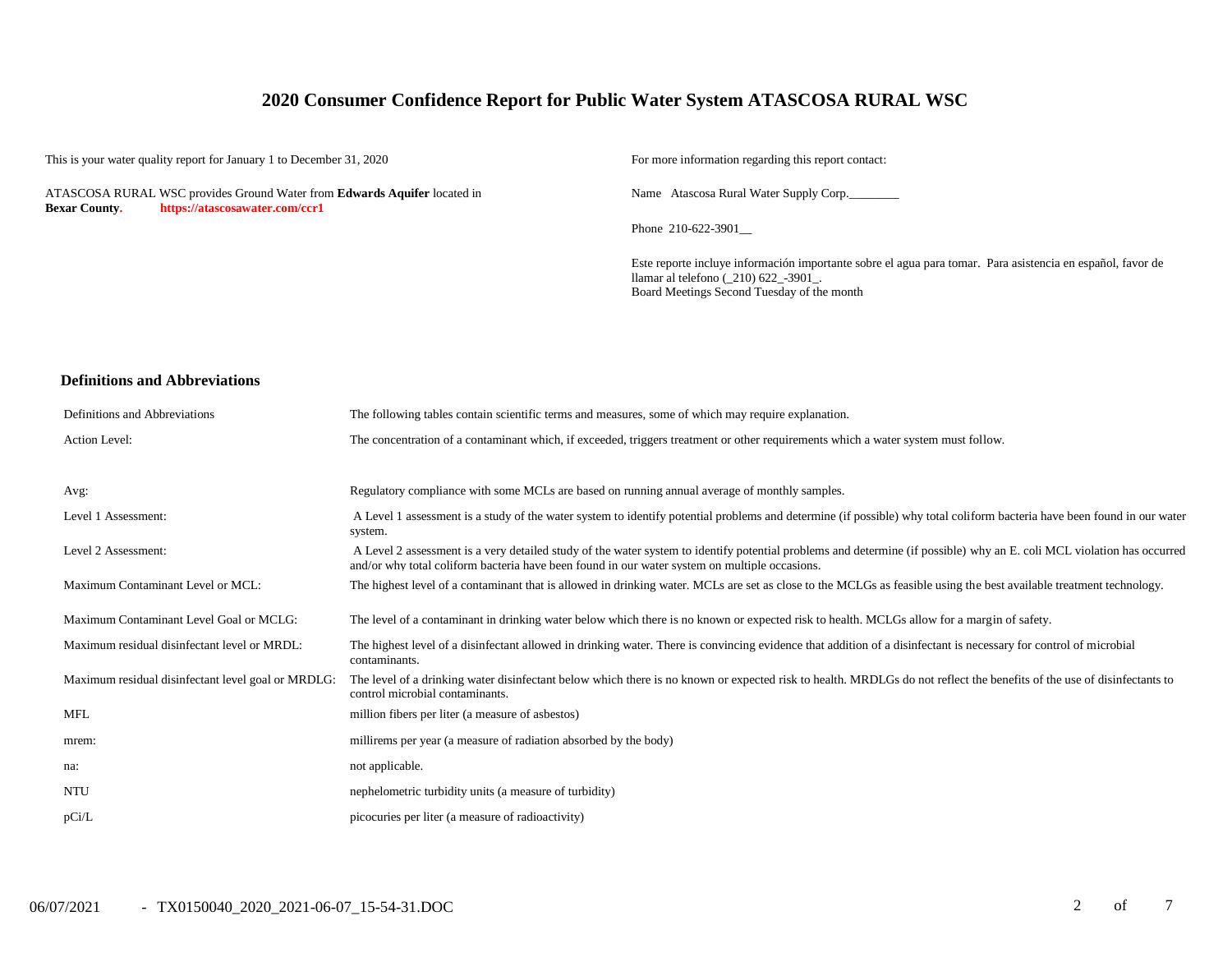### **2020 Consumer Confidence Report for Public Water System ATASCOSA RURAL WSC**

This is your water quality report for January 1 to December 31, 2020 For more information regarding this report contact:

ATASCOSA RURAL WSC provides Ground Water from **Edwards Aquifer** located in **Bexar County. https://atascosawater.com/ccr1**

Name Atascosa Rural Water Supply Corp.

Phone 210-622-3901\_\_

Este reporte incluye información importante sobre el agua para tomar. Para asistencia en español, favor de llamar al telefono (\_210) 622\_-3901\_. Board Meetings Second Tuesday of the month

#### **Definitions and Abbreviations**

| Definitions and Abbreviations                      | The following tables contain scientific terms and measures, some of which may require explanation.                                                                                                                                                                      |
|----------------------------------------------------|-------------------------------------------------------------------------------------------------------------------------------------------------------------------------------------------------------------------------------------------------------------------------|
| Action Level:                                      | The concentration of a contaminant which, if exceeded, triggers treatment or other requirements which a water system must follow.                                                                                                                                       |
| Avg:                                               | Regulatory compliance with some MCLs are based on running annual average of monthly samples.                                                                                                                                                                            |
| Level 1 Assessment:                                | A Level 1 assessment is a study of the water system to identify potential problems and determine (if possible) why total coliform bacteria have been found in our water<br>system.                                                                                      |
| Level 2 Assessment:                                | A Level 2 assessment is a very detailed study of the water system to identify potential problems and determine (if possible) why an E. coli MCL violation has occurred<br>and/or why total coliform bacteria have been found in our water system on multiple occasions. |
| Maximum Contaminant Level or MCL:                  | The highest level of a contaminant that is allowed in drinking water. MCLs are set as close to the MCLGs as feasible using the best available treatment technology.                                                                                                     |
| Maximum Contaminant Level Goal or MCLG:            | The level of a contaminant in drinking water below which there is no known or expected risk to health. MCLGs allow for a margin of safety.                                                                                                                              |
| Maximum residual disinfectant level or MRDL:       | The highest level of a disinfectant allowed in drinking water. There is convincing evidence that addition of a disinfectant is necessary for control of microbial<br>contaminants.                                                                                      |
| Maximum residual disinfectant level goal or MRDLG: | The level of a drinking water disinfectant below which there is no known or expected risk to health. MRDLGs do not reflect the benefits of the use of disinfectants to<br>control microbial contaminants.                                                               |
| <b>MFL</b>                                         | million fibers per liter (a measure of asbestos)                                                                                                                                                                                                                        |
| mrem:                                              | millirems per year (a measure of radiation absorbed by the body)                                                                                                                                                                                                        |
| na:                                                | not applicable.                                                                                                                                                                                                                                                         |
| <b>NTU</b>                                         | nephelometric turbidity units (a measure of turbidity)                                                                                                                                                                                                                  |
| pCi/L                                              | picocuries per liter (a measure of radioactivity)                                                                                                                                                                                                                       |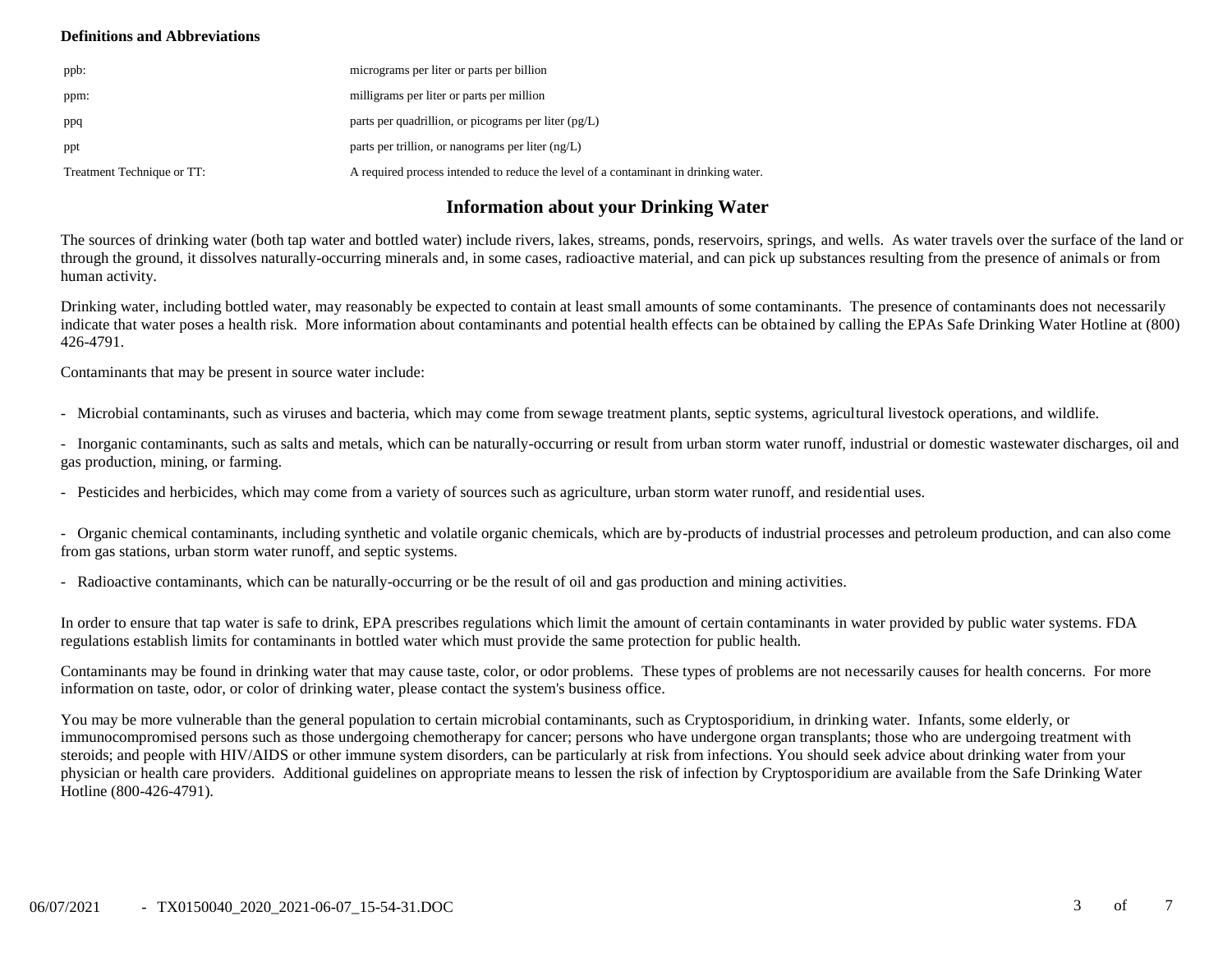#### **Definitions and Abbreviations**

| ppb:                       | micrograms per liter or parts per billion                                           |
|----------------------------|-------------------------------------------------------------------------------------|
| ppm:                       | milligrams per liter or parts per million                                           |
| ppq                        | parts per quadrillion, or picograms per liter $(pg/L)$                              |
| ppt                        | parts per trillion, or nanograms per liter $(ng/L)$                                 |
| Treatment Technique or TT: | A required process intended to reduce the level of a contaminant in drinking water. |

## **Information about your Drinking Water**

The sources of drinking water (both tap water and bottled water) include rivers, lakes, streams, ponds, reservoirs, springs, and wells. As water travels over the surface of the land or through the ground, it dissolves naturally-occurring minerals and, in some cases, radioactive material, and can pick up substances resulting from the presence of animals or from human activity.

Drinking water, including bottled water, may reasonably be expected to contain at least small amounts of some contaminants. The presence of contaminants does not necessarily indicate that water poses a health risk. More information about contaminants and potential health effects can be obtained by calling the EPAs Safe Drinking Water Hotline at (800) 426-4791.

Contaminants that may be present in source water include:

- Microbial contaminants, such as viruses and bacteria, which may come from sewage treatment plants, septic systems, agricultural livestock operations, and wildlife.

- Inorganic contaminants, such as salts and metals, which can be naturally-occurring or result from urban storm water runoff, industrial or domestic wastewater discharges, oil and gas production, mining, or farming.

- Pesticides and herbicides, which may come from a variety of sources such as agriculture, urban storm water runoff, and residential uses.

- Organic chemical contaminants, including synthetic and volatile organic chemicals, which are by-products of industrial processes and petroleum production, and can also come from gas stations, urban storm water runoff, and septic systems.

- Radioactive contaminants, which can be naturally-occurring or be the result of oil and gas production and mining activities.

In order to ensure that tap water is safe to drink, EPA prescribes regulations which limit the amount of certain contaminants in water provided by public water systems. FDA regulations establish limits for contaminants in bottled water which must provide the same protection for public health.

Contaminants may be found in drinking water that may cause taste, color, or odor problems. These types of problems are not necessarily causes for health concerns. For more information on taste, odor, or color of drinking water, please contact the system's business office.

You may be more vulnerable than the general population to certain microbial contaminants, such as Cryptosporidium, in drinking water. Infants, some elderly, or immunocompromised persons such as those undergoing chemotherapy for cancer; persons who have undergone organ transplants; those who are undergoing treatment with steroids; and people with HIV/AIDS or other immune system disorders, can be particularly at risk from infections. You should seek advice about drinking water from your physician or health care providers. Additional guidelines on appropriate means to lessen the risk of infection by Cryptosporidium are available from the Safe Drinking Water Hotline (800-426-4791).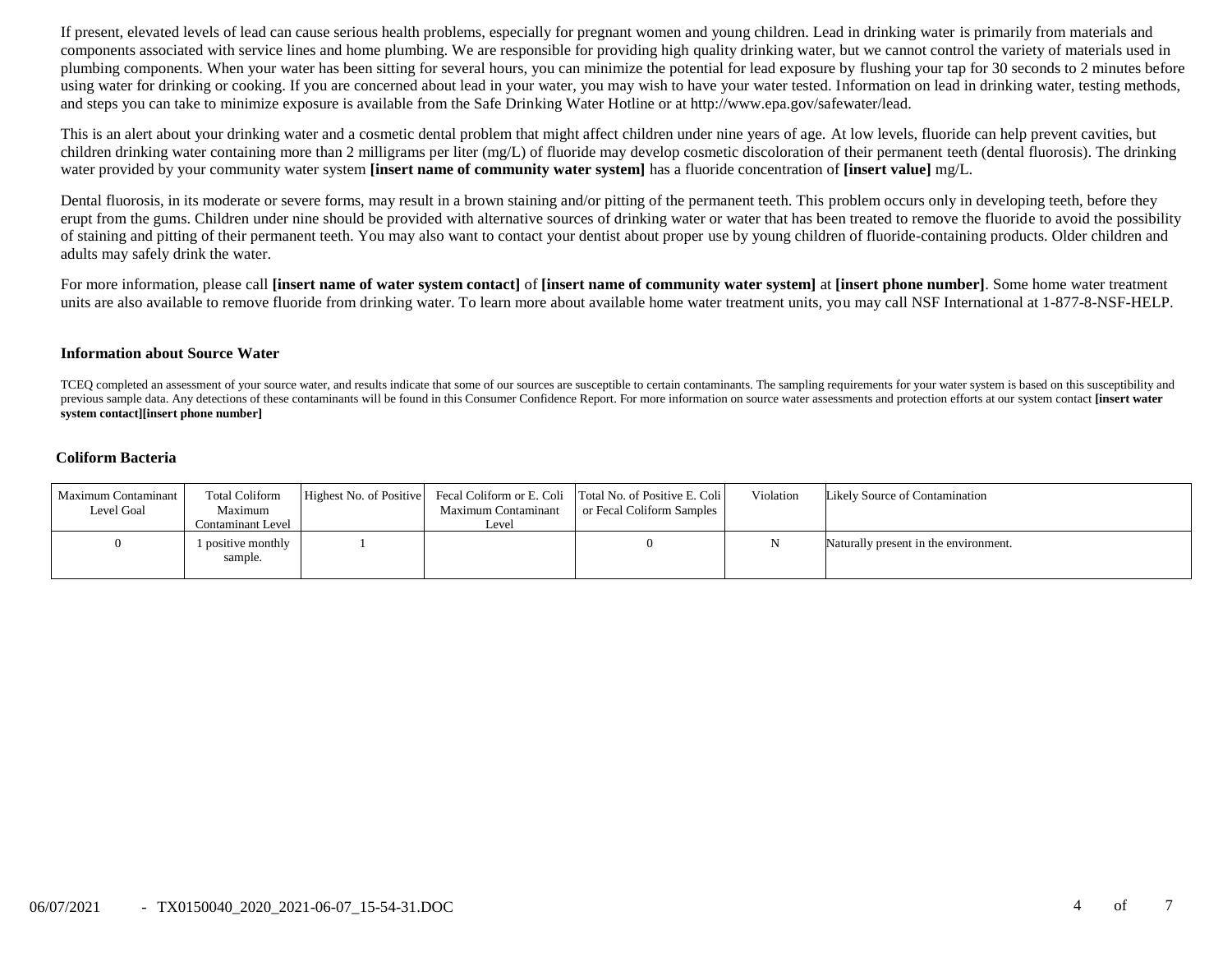If present, elevated levels of lead can cause serious health problems, especially for pregnant women and young children. Lead in drinking water is primarily from materials and components associated with service lines and home plumbing. We are responsible for providing high quality drinking water, but we cannot control the variety of materials used in plumbing components. When your water has been sitting for several hours, you can minimize the potential for lead exposure by flushing your tap for 30 seconds to 2 minutes before using water for drinking or cooking. If you are concerned about lead in your water, you may wish to have your water tested. Information on lead in drinking water, testing methods, and steps you can take to minimize exposure is available from the Safe Drinking Water Hotline or at http://www.epa.gov/safewater/lead.

This is an alert about your drinking water and a cosmetic dental problem that might affect children under nine years of age. At low levels, fluoride can help prevent cavities, but children drinking water containing more than 2 milligrams per liter (mg/L) of fluoride may develop cosmetic discoloration of their permanent teeth (dental fluorosis). The drinking water provided by your community water system **[insert name of community water system]** has a fluoride concentration of **[insert value]** mg/L.

Dental fluorosis, in its moderate or severe forms, may result in a brown staining and/or pitting of the permanent teeth. This problem occurs only in developing teeth, before they erupt from the gums. Children under nine should be provided with alternative sources of drinking water or water that has been treated to remove the fluoride to avoid the possibility of staining and pitting of their permanent teeth. You may also want to contact your dentist about proper use by young children of fluoride-containing products. Older children and adults may safely drink the water.

For more information, please call **[insert name of water system contact]** of **[insert name of community water system]** at **[insert phone number]**. Some home water treatment units are also available to remove fluoride from drinking water. To learn more about available home water treatment units, you may call NSF International at 1-877-8-NSF-HELP.

#### **Information about Source Water**

TCEQ completed an assessment of your source water, and results indicate that some of our sources are susceptible to certain contaminants. The sampling requirements for your water system is based on this susceptibility and previous sample data. Any detections of these contaminants will be found in this Consumer Confidence Report. For more information on source water assessments and protection efforts at our system contact **[insert water system contact][insert phone number]**

#### **Coliform Bacteria**

| Maximum Contaminant<br>Level Goal | <b>Total Coliform</b><br>Maximum<br><b>Contaminant Level</b> | Maximum Contaminant<br>Level | Highest No. of Positive Fecal Coliform or E. Coli Total No. of Positive E. Coli<br>or Fecal Coliform Samples | Violation | Likely Source of Contamination        |
|-----------------------------------|--------------------------------------------------------------|------------------------------|--------------------------------------------------------------------------------------------------------------|-----------|---------------------------------------|
|                                   | 1 positive monthly<br>sample.                                |                              |                                                                                                              |           | Naturally present in the environment. |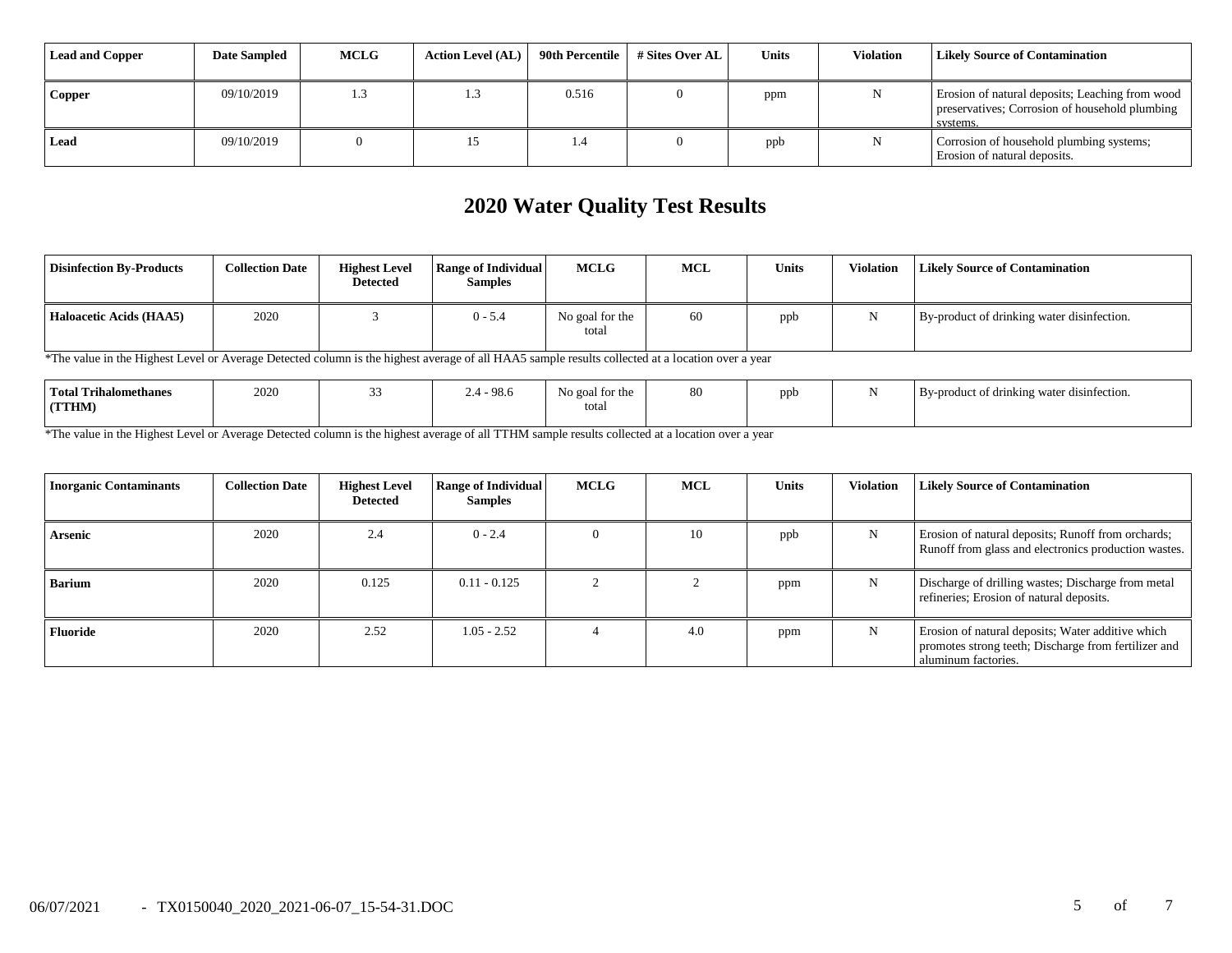| Lead and Copper | <b>Date Sampled</b> | <b>MCLG</b> | <b>Action Level (AL)</b> | 90th Percentile 1 | # Sites Over AL | Units | <b>Violation</b> | <b>Likely Source of Contamination</b>                                                                         |
|-----------------|---------------------|-------------|--------------------------|-------------------|-----------------|-------|------------------|---------------------------------------------------------------------------------------------------------------|
| Copper          | 09/10/2019          |             | . .3                     | 0.516             |                 | ppm   |                  | Erosion of natural deposits; Leaching from wood<br>preservatives; Corrosion of household plumbing<br>systems. |
| Lead            | 09/10/2019          |             |                          | <b>1.4</b>        |                 | ppb   |                  | Corrosion of household plumbing systems;<br>Erosion of natural deposits.                                      |

# **2020 Water Quality Test Results**

| <b>Disinfection By-Products</b> | <b>Collection Date</b> | <b>Highest Level</b><br><b>Detected</b> | <b>Range of Individual</b><br><b>Samples</b> | <b>MCLG</b>              | <b>MCL</b> | <b>Units</b> | Violation | Likely Source of Contamination             |
|---------------------------------|------------------------|-----------------------------------------|----------------------------------------------|--------------------------|------------|--------------|-----------|--------------------------------------------|
| Haloacetic Acids (HAA5)         | 2020                   |                                         | $0 - 5.4$                                    | No goal for the<br>total | 60         | ppb          |           | By-product of drinking water disinfection. |

\*The value in the Highest Level or Average Detected column is the highest average of all HAA5 sample results collected at a location over a year

| <b>Total Trihalomethanes</b> | $2020\,$ | 98.6 | No goal for the | 80 | ppb<br>. . | $\cdots$<br>By-product of drinking water disinfection. |
|------------------------------|----------|------|-----------------|----|------------|--------------------------------------------------------|
| <b>(TTHM)</b>                |          |      | total           |    |            |                                                        |
|                              |          |      |                 |    |            |                                                        |

\*The value in the Highest Level or Average Detected column is the highest average of all TTHM sample results collected at a location over a year

| <b>Inorganic Contaminants</b> | <b>Collection Date</b> | <b>Highest Level</b><br>Detected | <b>Range of Individual</b><br><b>Samples</b> | <b>MCLG</b> | <b>MCL</b> | Units | <b>Violation</b> | <b>Likely Source of Contamination</b>                                                                                            |
|-------------------------------|------------------------|----------------------------------|----------------------------------------------|-------------|------------|-------|------------------|----------------------------------------------------------------------------------------------------------------------------------|
| Arsenic                       | 2020                   | 2.4                              | $0 - 2.4$                                    |             | 10         | ppb   | N                | Erosion of natural deposits; Runoff from orchards;<br>Runoff from glass and electronics production wastes.                       |
| <b>Barium</b>                 | 2020                   | 0.125                            | $0.11 - 0.125$                               |             |            | ppm   | N                | Discharge of drilling wastes; Discharge from metal<br>refineries; Erosion of natural deposits.                                   |
| <b>Fluoride</b>               | 2020                   | 2.52                             | $1.05 - 2.52$                                |             | 4.0        | ppm   | N                | Erosion of natural deposits; Water additive which<br>promotes strong teeth; Discharge from fertilizer and<br>aluminum factories. |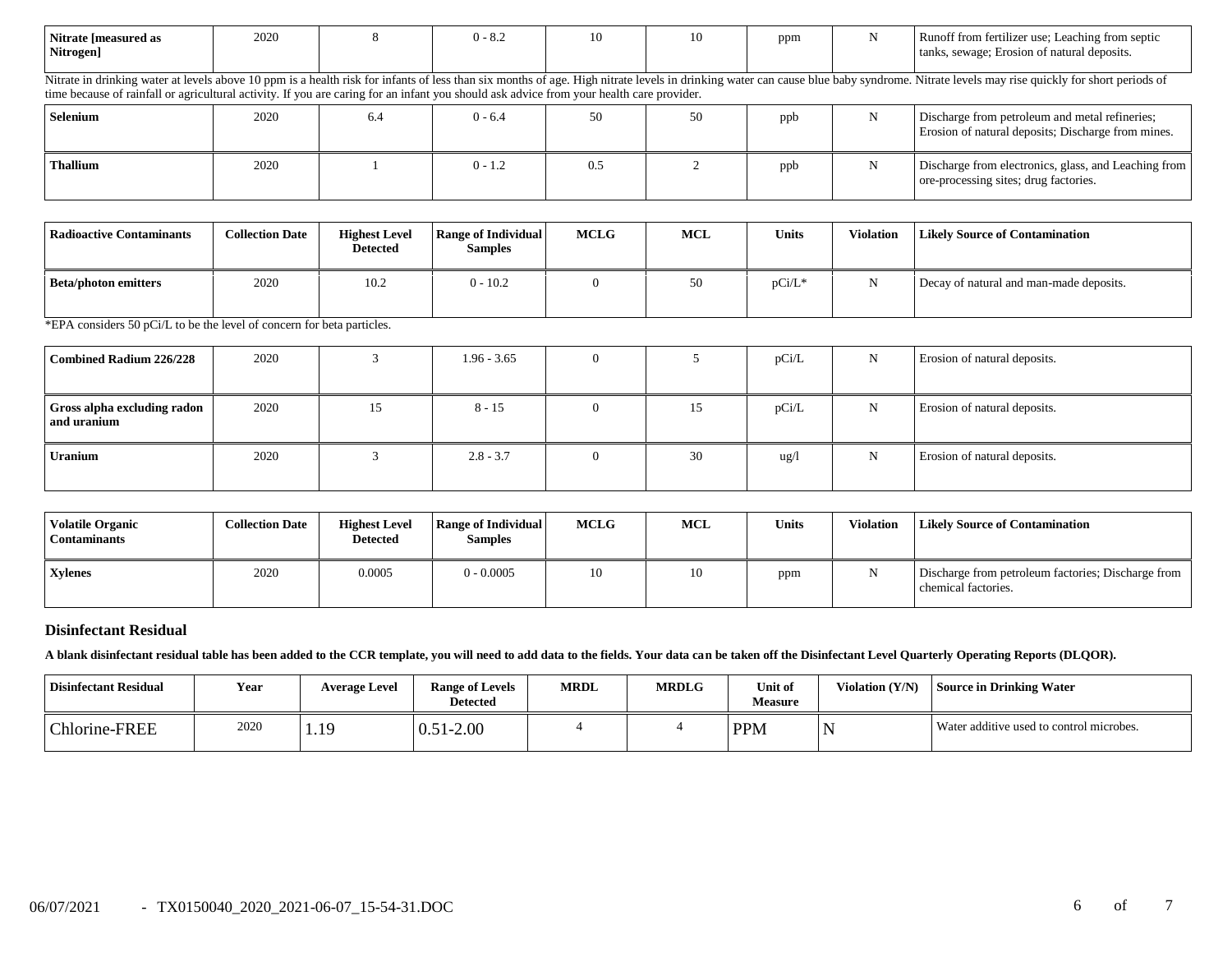| Nitrate [measured as | 2020 | $1 - 0.4$ | 10 | 10 | ppm | Runoff from fertilizer use; Leaching from septic |
|----------------------|------|-----------|----|----|-----|--------------------------------------------------|
| Nitrogen]            |      |           |    |    |     | tanks, sewage; Erosion of natural deposits.      |
|                      |      |           |    |    |     |                                                  |

Nitrate in drinking water at levels above 10 ppm is a health risk for infants of less than six months of age. High nitrate levels in drinking water can cause blue baby syndrome. Nitrate levels may rise quickly for short pe time because of rainfall or agricultural activity. If you are caring for an infant you should ask advice from your health care provider.

| Selenium | 2020 | 6.4 | $0 - 6.4$ | 50  | 50 | ppb | Discharge from petroleum and metal refineries;<br>Erosion of natural deposits; Discharge from mines. |
|----------|------|-----|-----------|-----|----|-----|------------------------------------------------------------------------------------------------------|
| Thallium | 2020 |     | $0 - 1.2$ | 0.5 |    | ppb | Discharge from electronics, glass, and Leaching from<br>ore-processing sites; drug factories.        |

| Radioactive Contaminants    | <b>Collection Date</b> | <b>Highest Level</b><br><b>Detected</b> | Range of Individual<br><b>Samples</b> | <b>MCLG</b> | <b>MCL</b> | <b>Units</b> | <b>Violation</b> | <b>Likely Source of Contamination</b>   |
|-----------------------------|------------------------|-----------------------------------------|---------------------------------------|-------------|------------|--------------|------------------|-----------------------------------------|
| <b>Beta/photon emitters</b> | 2020                   | 10.2                                    | $0 - 10.2$                            |             | 50         | pCi/L*       |                  | Decay of natural and man-made deposits. |

\*EPA considers 50 pCi/L to be the level of concern for beta particles.

| Combined Radium 226/228                    | 2020 |    | $1.96 - 3.65$ |          |    | pCi/L           | N | Erosion of natural deposits. |
|--------------------------------------------|------|----|---------------|----------|----|-----------------|---|------------------------------|
| Gross alpha excluding radon<br>and uranium | 2020 | 15 | $8 - 15$      | $\Omega$ | 15 | pCi/L           | N | Erosion of natural deposits. |
| Uranium                                    | 2020 |    | $2.8 - 3.7$   |          | 30 | $\frac{u g}{l}$ | N | Erosion of natural deposits. |

| <b>Volatile Organic</b><br><b>Contaminants</b> | <b>Collection Date</b> | <b>Highest Level</b><br><b>Detected</b> | <b>Range of Individual</b><br><b>Samples</b> | <b>MCLG</b> | <b>MCL</b> | <b>Units</b> | Violation | <b>Likely Source of Contamination</b>                                     |
|------------------------------------------------|------------------------|-----------------------------------------|----------------------------------------------|-------------|------------|--------------|-----------|---------------------------------------------------------------------------|
| <b>Xvlenes</b>                                 | 2020                   | 0.0005                                  | $0 - 0.0005$                                 | 10          | 10         | ppm          | N         | Discharge from petroleum factories; Discharge from<br>chemical factories. |

#### **Disinfectant Residual**

**A blank disinfectant residual table has been added to the CCR template, you will need to add data to the fields. Your data can be taken off the Disinfectant Level Quarterly Operating Reports (DLQOR).**

| <b>Disinfectant Residual</b> | Year | <b>Average Level</b> | <b>Range of Levels</b><br><b>Detected</b> | <b>MRDL</b> | <b>MRDLG</b> | Unit of<br><b>Measure</b> | Violation (Y/N) | l Source in Drinking Water               |
|------------------------------|------|----------------------|-------------------------------------------|-------------|--------------|---------------------------|-----------------|------------------------------------------|
| Chlorine-FREE                | 2020 | 1.19                 | 51-2.00<br>0.5 <sub>1</sub>               |             |              | <b>PPM</b>                | N               | Water additive used to control microbes. |